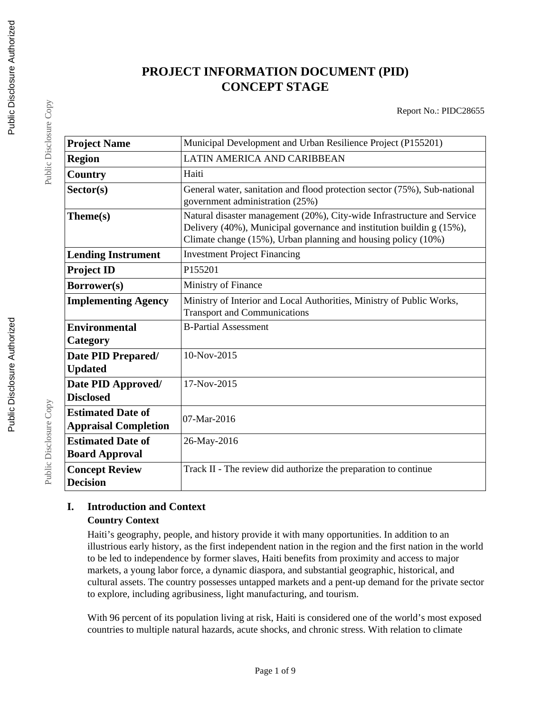# **PROJECT INFORMATION DOCUMENT (PID) CONCEPT STAGE**

Report No.: PIDC28655

| <b>Project Name</b>                                     | Municipal Development and Urban Resilience Project (P155201)                                                                                                                                                      |  |  |
|---------------------------------------------------------|-------------------------------------------------------------------------------------------------------------------------------------------------------------------------------------------------------------------|--|--|
| <b>Region</b>                                           | LATIN AMERICA AND CARIBBEAN                                                                                                                                                                                       |  |  |
| Country                                                 | Haiti                                                                                                                                                                                                             |  |  |
| Sector(s)                                               | General water, sanitation and flood protection sector (75%), Sub-national<br>government administration (25%)                                                                                                      |  |  |
| Theme(s)                                                | Natural disaster management (20%), City-wide Infrastructure and Service<br>Delivery (40%), Municipal governance and institution buildin g (15%),<br>Climate change (15%), Urban planning and housing policy (10%) |  |  |
| <b>Lending Instrument</b>                               | <b>Investment Project Financing</b>                                                                                                                                                                               |  |  |
| <b>Project ID</b>                                       | P155201                                                                                                                                                                                                           |  |  |
| Borrower(s)                                             | Ministry of Finance                                                                                                                                                                                               |  |  |
| <b>Implementing Agency</b>                              | Ministry of Interior and Local Authorities, Ministry of Public Works,<br><b>Transport and Communications</b>                                                                                                      |  |  |
| <b>Environmental</b><br>Category                        | <b>B-Partial Assessment</b>                                                                                                                                                                                       |  |  |
| Date PID Prepared/<br><b>Updated</b>                    | 10-Nov-2015                                                                                                                                                                                                       |  |  |
| Date PID Approved/<br><b>Disclosed</b>                  | 17-Nov-2015                                                                                                                                                                                                       |  |  |
| <b>Estimated Date of</b><br><b>Appraisal Completion</b> | 07-Mar-2016                                                                                                                                                                                                       |  |  |
| <b>Estimated Date of</b><br><b>Board Approval</b>       | 26-May-2016                                                                                                                                                                                                       |  |  |
| <b>Concept Review</b><br><b>Decision</b>                | Track II - The review did authorize the preparation to continue                                                                                                                                                   |  |  |

## **I. Introduction and Context Country Context**

Haiti's geography, people, and history provide it with many opportunities. In addition to an illustrious early history, as the first independent nation in the region and the first nation in the world to be led to independence by former slaves, Haiti benefits from proximity and access to major markets, a young labor force, a dynamic diaspora, and substantial geographic, historical, and cultural assets. The country possesses untapped markets and a pent-up demand for the private sector to explore, including agribusiness, light manufacturing, and tourism.

With 96 percent of its population living at risk, Haiti is considered one of the world's most exposed countries to multiple natural hazards, acute shocks, and chronic stress. With relation to climate

Public Disclosure Copy

Public Disclosure Copy

Public Disclosure Copy

Public Disclosure Copy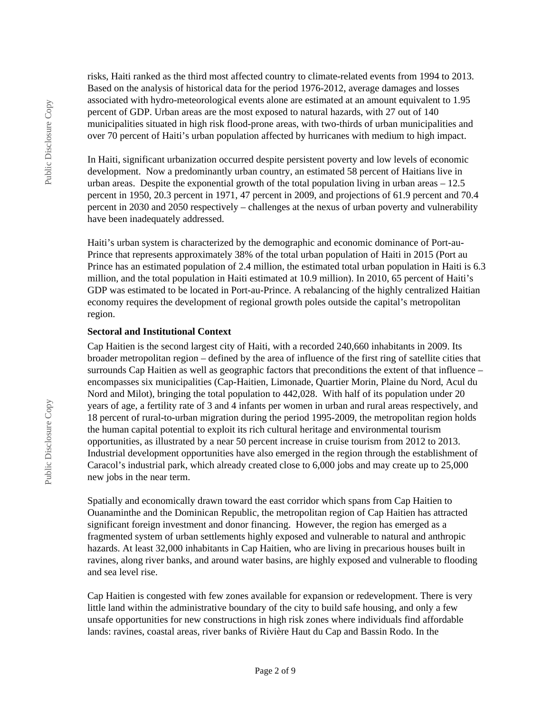risks, Haiti ranked as the third most affected country to climate-related events from 1994 to 2013. Based on the analysis of historical data for the period 1976-2012, average damages and losses associated with hydro-meteorological events alone are estimated at an amount equivalent to 1.95 percent of GDP. Urban areas are the most exposed to natural hazards, with 27 out of 140 municipalities situated in high risk flood-prone areas, with two-thirds of urban municipalities and over 70 percent of Haiti's urban population affected by hurricanes with medium to high impact.

In Haiti, significant urbanization occurred despite persistent poverty and low levels of economic development. Now a predominantly urban country, an estimated 58 percent of Haitians live in urban areas. Despite the exponential growth of the total population living in urban areas – 12.5 percent in 1950, 20.3 percent in 1971, 47 percent in 2009, and projections of 61.9 percent and 70.4 percent in 2030 and 2050 respectively – challenges at the nexus of urban poverty and vulnerability have been inadequately addressed.

Haiti's urban system is characterized by the demographic and economic dominance of Port-au-Prince that represents approximately 38% of the total urban population of Haiti in 2015 (Port au Prince has an estimated population of 2.4 million, the estimated total urban population in Haiti is 6.3 million, and the total population in Haiti estimated at 10.9 million). In 2010, 65 percent of Haiti's GDP was estimated to be located in Port-au-Prince. A rebalancing of the highly centralized Haitian economy requires the development of regional growth poles outside the capital's metropolitan region.

#### **Sectoral and Institutional Context**

Cap Haitien is the second largest city of Haiti, with a recorded 240,660 inhabitants in 2009. Its broader metropolitan region – defined by the area of influence of the first ring of satellite cities that surrounds Cap Haitien as well as geographic factors that preconditions the extent of that influence – encompasses six municipalities (Cap-Haitien, Limonade, Quartier Morin, Plaine du Nord, Acul du Nord and Milot), bringing the total population to 442,028. With half of its population under 20 years of age, a fertility rate of 3 and 4 infants per women in urban and rural areas respectively, and 18 percent of rural-to-urban migration during the period 1995-2009, the metropolitan region holds the human capital potential to exploit its rich cultural heritage and environmental tourism opportunities, as illustrated by a near 50 percent increase in cruise tourism from 2012 to 2013. Industrial development opportunities have also emerged in the region through the establishment of Caracol's industrial park, which already created close to 6,000 jobs and may create up to 25,000 new jobs in the near term.

Spatially and economically drawn toward the east corridor which spans from Cap Haitien to Ouanaminthe and the Dominican Republic, the metropolitan region of Cap Haitien has attracted significant foreign investment and donor financing. However, the region has emerged as a fragmented system of urban settlements highly exposed and vulnerable to natural and anthropic hazards. At least 32,000 inhabitants in Cap Haitien, who are living in precarious houses built in ravines, along river banks, and around water basins, are highly exposed and vulnerable to flooding and sea level rise.

Cap Haitien is congested with few zones available for expansion or redevelopment. There is very little land within the administrative boundary of the city to build safe housing, and only a few unsafe opportunities for new constructions in high risk zones where individuals find affordable lands: ravines, coastal areas, river banks of Rivière Haut du Cap and Bassin Rodo. In the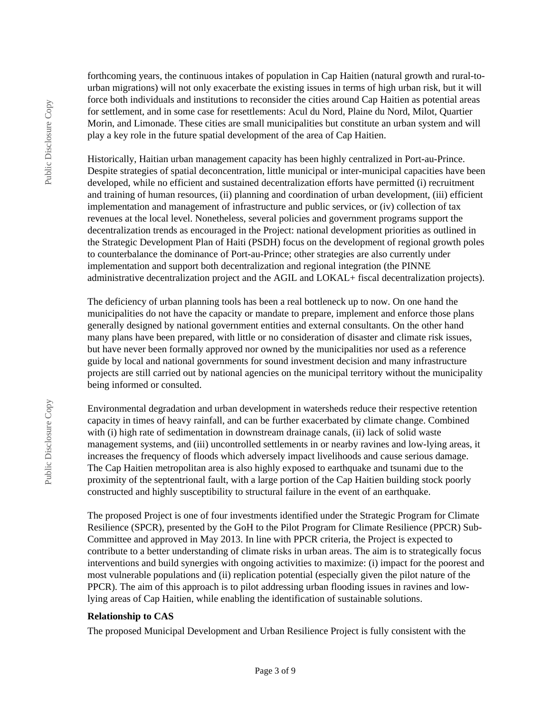forthcoming years, the continuous intakes of population in Cap Haitien (natural growth and rural-tourban migrations) will not only exacerbate the existing issues in terms of high urban risk, but it will force both individuals and institutions to reconsider the cities around Cap Haitien as potential areas for settlement, and in some case for resettlements: Acul du Nord, Plaine du Nord, Milot, Quartier Morin, and Limonade. These cities are small municipalities but constitute an urban system and will play a key role in the future spatial development of the area of Cap Haitien.

Historically, Haitian urban management capacity has been highly centralized in Port-au-Prince. Despite strategies of spatial deconcentration, little municipal or inter-municipal capacities have been developed, while no efficient and sustained decentralization efforts have permitted (i) recruitment and training of human resources, (ii) planning and coordination of urban development, (iii) efficient implementation and management of infrastructure and public services, or (iv) collection of tax revenues at the local level. Nonetheless, several policies and government programs support the decentralization trends as encouraged in the Project: national development priorities as outlined in the Strategic Development Plan of Haiti (PSDH) focus on the development of regional growth poles to counterbalance the dominance of Port-au-Prince; other strategies are also currently under implementation and support both decentralization and regional integration (the PINNE administrative decentralization project and the AGIL and LOKAL+ fiscal decentralization projects).

The deficiency of urban planning tools has been a real bottleneck up to now. On one hand the municipalities do not have the capacity or mandate to prepare, implement and enforce those plans generally designed by national government entities and external consultants. On the other hand many plans have been prepared, with little or no consideration of disaster and climate risk issues, but have never been formally approved nor owned by the municipalities nor used as a reference guide by local and national governments for sound investment decision and many infrastructure projects are still carried out by national agencies on the municipal territory without the municipality being informed or consulted.

Environmental degradation and urban development in watersheds reduce their respective retention capacity in times of heavy rainfall, and can be further exacerbated by climate change. Combined with (i) high rate of sedimentation in downstream drainage canals, (ii) lack of solid waste management systems, and (iii) uncontrolled settlements in or nearby ravines and low-lying areas, it increases the frequency of floods which adversely impact livelihoods and cause serious damage. The Cap Haitien metropolitan area is also highly exposed to earthquake and tsunami due to the proximity of the septentrional fault, with a large portion of the Cap Haitien building stock poorly constructed and highly susceptibility to structural failure in the event of an earthquake.

The proposed Project is one of four investments identified under the Strategic Program for Climate Resilience (SPCR), presented by the GoH to the Pilot Program for Climate Resilience (PPCR) Sub-Committee and approved in May 2013. In line with PPCR criteria, the Project is expected to contribute to a better understanding of climate risks in urban areas. The aim is to strategically focus interventions and build synergies with ongoing activities to maximize: (i) impact for the poorest and most vulnerable populations and (ii) replication potential (especially given the pilot nature of the PPCR). The aim of this approach is to pilot addressing urban flooding issues in ravines and lowlying areas of Cap Haitien, while enabling the identification of sustainable solutions.

#### **Relationship to CAS**

The proposed Municipal Development and Urban Resilience Project is fully consistent with the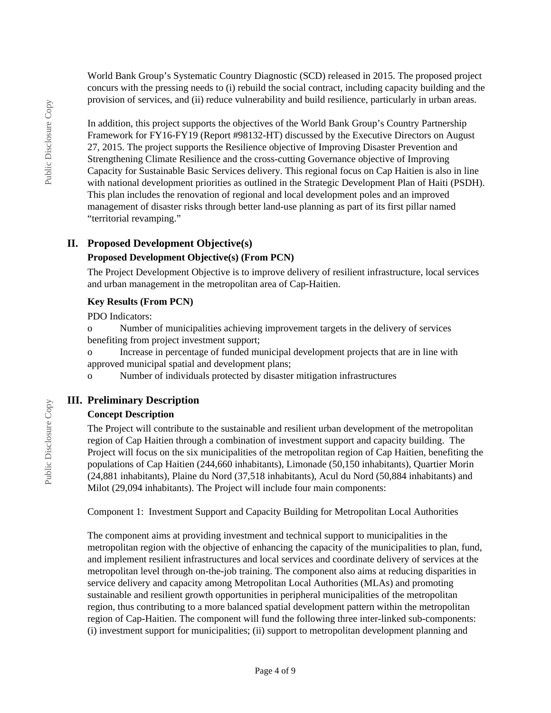World Bank Group's Systematic Country Diagnostic (SCD) released in 2015. The proposed project concurs with the pressing needs to (i) rebuild the social contract, including capacity building and the provision of services, and (ii) reduce vulnerability and build resilience, particularly in urban areas.

In addition, this project supports the objectives of the World Bank Group's Country Partnership Framework for FY16-FY19 (Report #98132-HT) discussed by the Executive Directors on August 27, 2015. The project supports the Resilience objective of Improving Disaster Prevention and Strengthening Climate Resilience and the cross-cutting Governance objective of Improving Capacity for Sustainable Basic Services delivery. This regional focus on Cap Haitien is also in line with national development priorities as outlined in the Strategic Development Plan of Haiti (PSDH). This plan includes the renovation of regional and local development poles and an improved management of disaster risks through better land-use planning as part of its first pillar named "territorial revamping."

## **II. Proposed Development Objective(s)**

## **Proposed Development Objective(s) (From PCN)**

The Project Development Objective is to improve delivery of resilient infrastructure, local services and urban management in the metropolitan area of Cap-Haitien.

#### **Key Results (From PCN)**

PDO Indicators:

o Number of municipalities achieving improvement targets in the delivery of services benefiting from project investment support;

o Increase in percentage of funded municipal development projects that are in line with approved municipal spatial and development plans;

o Number of individuals protected by disaster mitigation infrastructures

## **III. Preliminary Description**

#### **Concept Description**

The Project will contribute to the sustainable and resilient urban development of the metropolitan region of Cap Haitien through a combination of investment support and capacity building. The Project will focus on the six municipalities of the metropolitan region of Cap Haitien, benefiting the populations of Cap Haitien (244,660 inhabitants), Limonade (50,150 inhabitants), Quartier Morin (24,881 inhabitants), Plaine du Nord (37,518 inhabitants), Acul du Nord (50,884 inhabitants) and Milot (29,094 inhabitants). The Project will include four main components:

Component 1: Investment Support and Capacity Building for Metropolitan Local Authorities

The component aims at providing investment and technical support to municipalities in the metropolitan region with the objective of enhancing the capacity of the municipalities to plan, fund, and implement resilient infrastructures and local services and coordinate delivery of services at the metropolitan level through on-the-job training. The component also aims at reducing disparities in service delivery and capacity among Metropolitan Local Authorities (MLAs) and promoting sustainable and resilient growth opportunities in peripheral municipalities of the metropolitan region, thus contributing to a more balanced spatial development pattern within the metropolitan region of Cap-Haitien. The component will fund the following three inter-linked sub-components: (i) investment support for municipalities; (ii) support to metropolitan development planning and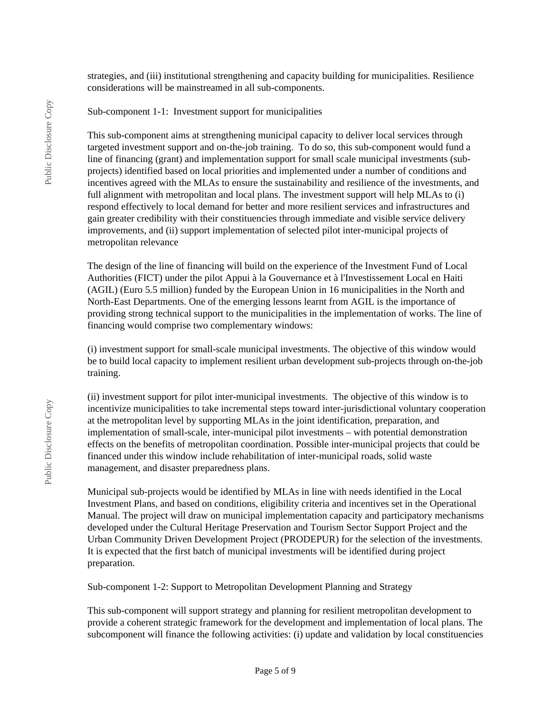strategies, and (iii) institutional strengthening and capacity building for municipalities. Resilience considerations will be mainstreamed in all sub-components.

Sub-component 1-1: Investment support for municipalities

This sub-component aims at strengthening municipal capacity to deliver local services through targeted investment support and on-the-job training. To do so, this sub-component would fund a line of financing (grant) and implementation support for small scale municipal investments (subprojects) identified based on local priorities and implemented under a number of conditions and incentives agreed with the MLAs to ensure the sustainability and resilience of the investments, and full alignment with metropolitan and local plans. The investment support will help MLAs to (i) respond effectively to local demand for better and more resilient services and infrastructures and gain greater credibility with their constituencies through immediate and visible service delivery improvements, and (ii) support implementation of selected pilot inter-municipal projects of metropolitan relevance

The design of the line of financing will build on the experience of the Investment Fund of Local Authorities (FICT) under the pilot Appui à la Gouvernance et à l'Investissement Local en Haiti (AGIL) (Euro 5.5 million) funded by the European Union in 16 municipalities in the North and North-East Departments. One of the emerging lessons learnt from AGIL is the importance of providing strong technical support to the municipalities in the implementation of works. The line of financing would comprise two complementary windows:

(i) investment support for small-scale municipal investments. The objective of this window would be to build local capacity to implement resilient urban development sub-projects through on-the-job training.

(ii) investment support for pilot inter-municipal investments. The objective of this window is to incentivize municipalities to take incremental steps toward inter-jurisdictional voluntary cooperation at the metropolitan level by supporting MLAs in the joint identification, preparation, and implementation of small-scale, inter-municipal pilot investments – with potential demonstration effects on the benefits of metropolitan coordination. Possible inter-municipal projects that could be financed under this window include rehabilitation of inter-municipal roads, solid waste management, and disaster preparedness plans.

Municipal sub-projects would be identified by MLAs in line with needs identified in the Local Investment Plans, and based on conditions, eligibility criteria and incentives set in the Operational Manual. The project will draw on municipal implementation capacity and participatory mechanisms developed under the Cultural Heritage Preservation and Tourism Sector Support Project and the Urban Community Driven Development Project (PRODEPUR) for the selection of the investments. It is expected that the first batch of municipal investments will be identified during project preparation.

Sub-component 1-2: Support to Metropolitan Development Planning and Strategy

This sub-component will support strategy and planning for resilient metropolitan development to provide a coherent strategic framework for the development and implementation of local plans. The subcomponent will finance the following activities: (i) update and validation by local constituencies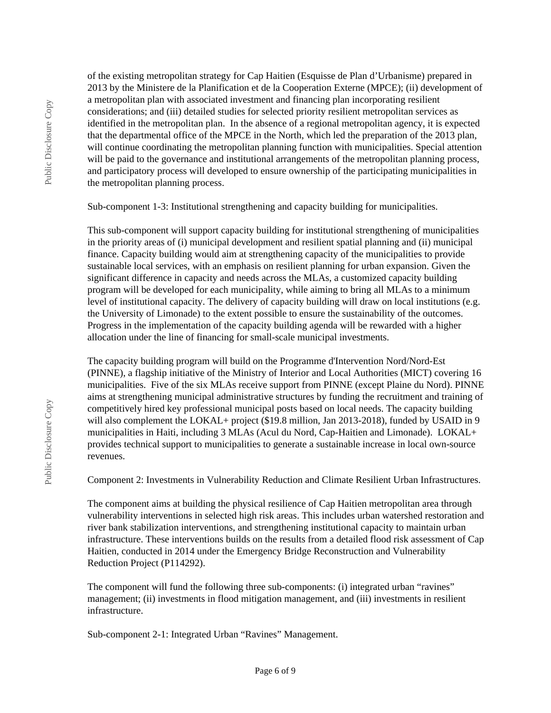of the existing metropolitan strategy for Cap Haitien (Esquisse de Plan d'Urbanisme) prepared in 2013 by the Ministere de la Planification et de la Cooperation Externe (MPCE); (ii) development of a metropolitan plan with associated investment and financing plan incorporating resilient considerations; and (iii) detailed studies for selected priority resilient metropolitan services as identified in the metropolitan plan. In the absence of a regional metropolitan agency, it is expected that the departmental office of the MPCE in the North, which led the preparation of the 2013 plan, will continue coordinating the metropolitan planning function with municipalities. Special attention will be paid to the governance and institutional arrangements of the metropolitan planning process, and participatory process will developed to ensure ownership of the participating municipalities in the metropolitan planning process.

Sub-component 1-3: Institutional strengthening and capacity building for municipalities.

This sub-component will support capacity building for institutional strengthening of municipalities in the priority areas of (i) municipal development and resilient spatial planning and (ii) municipal finance. Capacity building would aim at strengthening capacity of the municipalities to provide sustainable local services, with an emphasis on resilient planning for urban expansion. Given the significant difference in capacity and needs across the MLAs, a customized capacity building program will be developed for each municipality, while aiming to bring all MLAs to a minimum level of institutional capacity. The delivery of capacity building will draw on local institutions (e.g. the University of Limonade) to the extent possible to ensure the sustainability of the outcomes. Progress in the implementation of the capacity building agenda will be rewarded with a higher allocation under the line of financing for small-scale municipal investments.

The capacity building program will build on the Programme d'Intervention Nord/Nord-Est (PINNE), a flagship initiative of the Ministry of Interior and Local Authorities (MICT) covering 16 municipalities. Five of the six MLAs receive support from PINNE (except Plaine du Nord). PINNE aims at strengthening municipal administrative structures by funding the recruitment and training of competitively hired key professional municipal posts based on local needs. The capacity building will also complement the LOKAL+ project (\$19.8 million, Jan 2013-2018), funded by USAID in 9 municipalities in Haiti, including 3 MLAs (Acul du Nord, Cap-Haitien and Limonade). LOKAL+ provides technical support to municipalities to generate a sustainable increase in local own-source revenues.

Component 2: Investments in Vulnerability Reduction and Climate Resilient Urban Infrastructures.

The component aims at building the physical resilience of Cap Haitien metropolitan area through vulnerability interventions in selected high risk areas. This includes urban watershed restoration and river bank stabilization interventions, and strengthening institutional capacity to maintain urban infrastructure. These interventions builds on the results from a detailed flood risk assessment of Cap Haitien, conducted in 2014 under the Emergency Bridge Reconstruction and Vulnerability Reduction Project (P114292).

The component will fund the following three sub-components: (i) integrated urban "ravines" management; (ii) investments in flood mitigation management, and (iii) investments in resilient infrastructure.

Sub-component 2-1: Integrated Urban "Ravines" Management.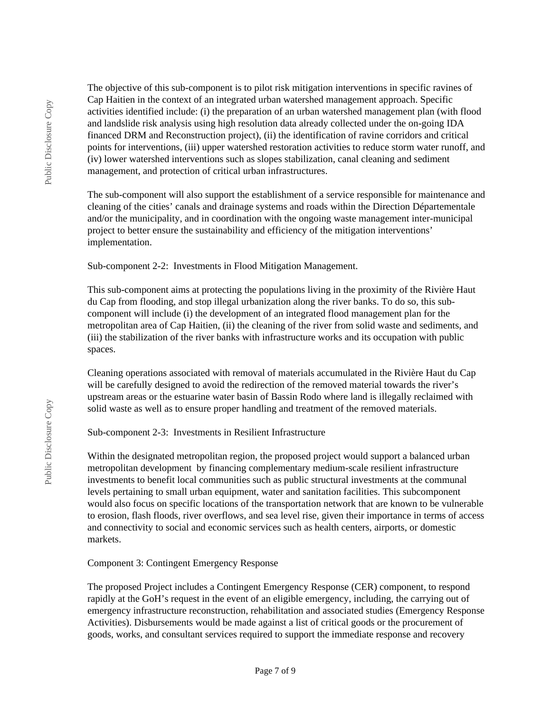Public Disclosure Copy Public Disclosure Copy The objective of this sub-component is to pilot risk mitigation interventions in specific ravines of Cap Haitien in the context of an integrated urban watershed management approach. Specific activities identified include: (i) the preparation of an urban watershed management plan (with flood and landslide risk analysis using high resolution data already collected under the on-going IDA financed DRM and Reconstruction project), (ii) the identification of ravine corridors and critical points for interventions, (iii) upper watershed restoration activities to reduce storm water runoff, and (iv) lower watershed interventions such as slopes stabilization, canal cleaning and sediment management, and protection of critical urban infrastructures.

The sub-component will also support the establishment of a service responsible for maintenance and cleaning of the cities' canals and drainage systems and roads within the Direction Départementale and/or the municipality, and in coordination with the ongoing waste management inter-municipal project to better ensure the sustainability and efficiency of the mitigation interventions' implementation.

Sub-component 2-2: Investments in Flood Mitigation Management.

This sub-component aims at protecting the populations living in the proximity of the Rivière Haut du Cap from flooding, and stop illegal urbanization along the river banks. To do so, this subcomponent will include (i) the development of an integrated flood management plan for the metropolitan area of Cap Haitien, (ii) the cleaning of the river from solid waste and sediments, and (iii) the stabilization of the river banks with infrastructure works and its occupation with public spaces.

Cleaning operations associated with removal of materials accumulated in the Rivière Haut du Cap will be carefully designed to avoid the redirection of the removed material towards the river's upstream areas or the estuarine water basin of Bassin Rodo where land is illegally reclaimed with solid waste as well as to ensure proper handling and treatment of the removed materials.

Sub-component 2-3: Investments in Resilient Infrastructure

Within the designated metropolitan region, the proposed project would support a balanced urban metropolitan development by financing complementary medium-scale resilient infrastructure investments to benefit local communities such as public structural investments at the communal levels pertaining to small urban equipment, water and sanitation facilities. This subcomponent would also focus on specific locations of the transportation network that are known to be vulnerable to erosion, flash floods, river overflows, and sea level rise, given their importance in terms of access and connectivity to social and economic services such as health centers, airports, or domestic markets.

Component 3: Contingent Emergency Response

The proposed Project includes a Contingent Emergency Response (CER) component, to respond rapidly at the GoH's request in the event of an eligible emergency, including, the carrying out of emergency infrastructure reconstruction, rehabilitation and associated studies (Emergency Response Activities). Disbursements would be made against a list of critical goods or the procurement of goods, works, and consultant services required to support the immediate response and recovery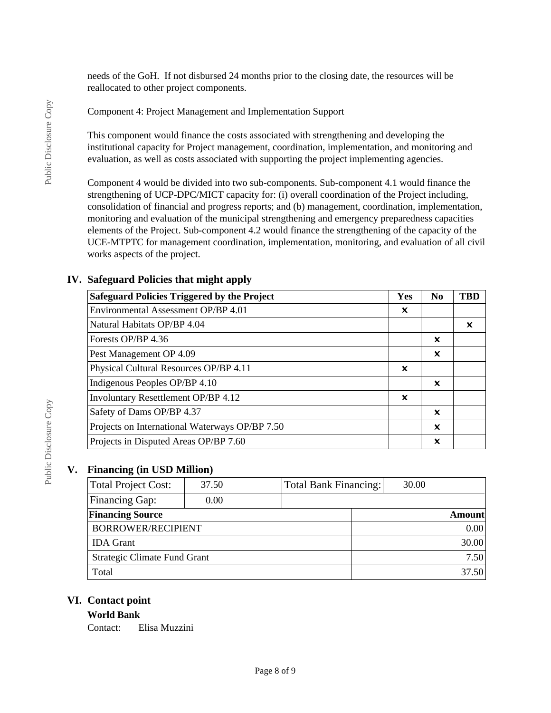needs of the GoH. If not disbursed 24 months prior to the closing date, the resources will be reallocated to other project components.

Component 4: Project Management and Implementation Support

This component would finance the costs associated with strengthening and developing the institutional capacity for Project management, coordination, implementation, and monitoring and evaluation, as well as costs associated with supporting the project implementing agencies.

Component 4 would be divided into two sub-components. Sub-component 4.1 would finance the strengthening of UCP-DPC/MICT capacity for: (i) overall coordination of the Project including, consolidation of financial and progress reports; and (b) management, coordination, implementation, monitoring and evaluation of the municipal strengthening and emergency preparedness capacities elements of the Project. Sub-component 4.2 would finance the strengthening of the capacity of the UCE-MTPTC for management coordination, implementation, monitoring, and evaluation of all civil works aspects of the project.

## **IV. Safeguard Policies that might apply**

| <b>Safeguard Policies Triggered by the Project</b> | <b>Yes</b> | N <sub>0</sub> | TBD |
|----------------------------------------------------|------------|----------------|-----|
| Environmental Assessment OP/BP 4.01                | x          |                |     |
| Natural Habitats OP/BP 4.04                        |            |                | ×   |
| Forests OP/BP 4.36                                 |            | x              |     |
| Pest Management OP 4.09                            |            | ×              |     |
| Physical Cultural Resources OP/BP 4.11             | ×          |                |     |
| Indigenous Peoples OP/BP 4.10                      |            | ×              |     |
| Involuntary Resettlement OP/BP 4.12                | ×          |                |     |
| Safety of Dams OP/BP 4.37                          |            | x              |     |
| Projects on International Waterways OP/BP 7.50     |            | X              |     |
| Projects in Disputed Areas OP/BP 7.60              |            | X              |     |

## **V. Financing (in USD Million)**

| Total Project Cost:          | 37.50 | Total Bank Financing: | 30.00 |               |
|------------------------------|-------|-----------------------|-------|---------------|
| <b>Financing Gap:</b>        | 0.00  |                       |       |               |
| <b>Financing Source</b>      |       |                       |       | <b>Amount</b> |
| <b>BORROWER/RECIPIENT</b>    |       |                       |       | 0.00          |
| <b>IDA</b> Grant             |       |                       |       | 30.00         |
| Strategic Climate Fund Grant |       |                       |       | 7.50          |
| Total                        |       |                       |       | 37.50         |

## **VI. Contact point**

#### **World Bank**

Contact: Elisa Muzzini